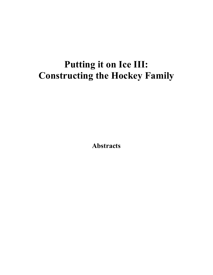# **Putting it on Ice III: Constructing the Hockey Family**

**Abstracts**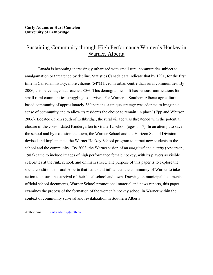#### **Carly Adams & Hart Cantelon University of Lethbridge**

# Sustaining Community through High Performance Women's Hockey in Warner, Alberta

Canada is becoming increasingly urbanized with small rural communities subject to amalgamation or threatened by decline. Statistics Canada data indicate that by 1931, for the first time in Canadian history, more citizens (54%) lived in urban centre than rural communities. By 2006, this percentage had reached 80%. This demographic shift has serious ramifications for small rural communities struggling to survive. For Warner, a Southern Alberta agriculturalbased community of approximately 380 persons, a unique strategy was adopted to imagine a sense of community and to allow its residents the choice to remain 'in place' (Epp and Whitson, 2006). Located 65 km south of Lethbridge, the rural village was threatened with the potential closure of the consolidated Kindergarten to Grade 12 school (ages 5-17). In an attempt to save the school and by extension the town, the Warner School and the Horizon School Division devised and implemented the Warner Hockey School program to attract new students to the school and the community. By 2003, the Warner vision of an *imagined community* (Anderson, 1983) came to include images of high performance female hockey, with its players as visible celebrities at the rink, school, and on main street. The purpose of this paper is to explore the social conditions in rural Alberta that led to and influenced the community of Warner to take action to ensure the survival of their local school and town. Drawing on municipal documents, official school documents, Warner School promotional material and news reports, this paper examines the process of the formation of the women's hockey school in Warner within the context of community survival and revitalization in Southern Alberta.

Author email: carly.adams@uleth.ca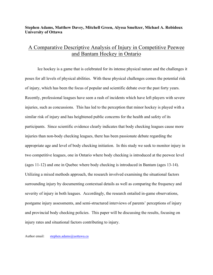#### **Stephen Adams, Matthew Davey, Mitchell Green, Alyssa Smeltzer, Michael A. Robidoux University of Ottawa**

## A Comparative Descriptive Analysis of Injury in Competitive Peewee and Bantam Hockey in Ontario

Ice hockey is a game that is celebrated for its intense physical nature and the challenges it poses for all levels of physical abilities. With these physical challenges comes the potential risk of injury, which has been the focus of popular and scientific debate over the past forty years. Recently, professional leagues have seen a rash of incidents which have left players with severe injuries, such as concussions. This has led to the perception that minor hockey is played with a similar risk of injury and has heightened public concerns for the health and safety of its participants. Since scientific evidence clearly indicates that body checking leagues cause more injuries than non-body checking leagues, there has been passionate debate regarding the appropriate age and level of body checking initiation. In this study we seek to monitor injury in two competitive leagues, one in Ontario where body checking is introduced at the peewee level (ages 11-12) and one in Quebec where body checking is introduced in Bantam (ages 13-14). Utilizing a mixed methods approach, the research involved examining the situational factors surrounding injury by documenting contextual details as well as comparing the frequency and severity of injury in both leagues. Accordingly, the research entailed in-game observations, postgame injury assessments, and semi-structured interviews of parents' perceptions of injury and provincial body checking policies. This paper will be discussing the results, focusing on injury rates and situational factors contributing to injury.

Author email: stephen.adams@uottawa.ca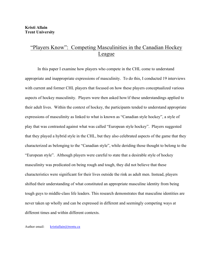### "Players Know": Competing Masculinities in the Canadian Hockey League

In this paper I examine how players who compete in the CHL come to understand appropriate and inappropriate expressions of masculinity. To do this, I conducted 19 interviews with current and former CHL players that focused on how these players conceptualized various aspects of hockey masculinity. Players were then asked how/if these understandings applied to their adult lives. Within the context of hockey, the participants tended to understand appropriate expressions of masculinity as linked to what is known as "Canadian style hockey", a style of play that was contrasted against what was called "European style hockey". Players suggested that they played a hybrid style in the CHL, but they also celebrated aspects of the game that they characterized as belonging to the "Canadian style", while deriding those thought to belong to the "European style". Although players were careful to state that a desirable style of hockey masculinity was predicated on being rough and tough, they did not believe that these characteristics were significant for their lives outside the rink as adult men. Instead, players shifted their understanding of what constituted an appropriate masculine identity from being tough guys to middle-class life leaders. This research demonstrates that masculine identities are never taken up wholly and can be expressed in different and seemingly competing ways at different times and within different contexts.

Author email: kristiallain@trentu.ca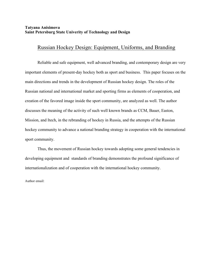#### **Tatyana Anisimova Saint Petersburg State Univerity of Technology and Design**

### Russian Hockey Design: Equipment, Uniforms, and Branding

Reliable and safe equipment, well advanced branding, and contemporary design are very important elements of present-day hockey both as sport and business. This paper focuses on the main directions and trends in the development of Russian hockey design. The roles of the Russian national and international market and sporting firms as elements of cooperation, and creation of the favored image inside the sport community, are analyzed as well. The author discusses the meaning of the activity of such well known brands as CCM, Bauer, Easton, Mission, and Itech, in the rebranding of hockey in Russia, and the attempts of the Russian hockey community to advance a national branding strategy in cooperation with the international sport community.

Thus, the movement of Russian hockey towards adopting some general tendencies in developing equipment and standards of branding demonstrates the profound significance of internationalization and of cooperation with the international hockey community.

Author email: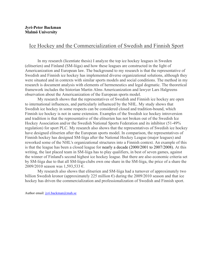### Ice Hockey and the Commercialization of Swedish and Finnish Sport

In my research (licentiate thesis) I analyze the top ice hockey leagues in Sweden (elitserien) and Finland (SM-liiga) and how these leagues are constructed in the light of Americanization and European law. The background to my research is that the representative of Swedish and Finnish ice hockey has implemented diverse organizational solutions, although they were situated and in contexts with similar sports models and social conditions. The method in my research is document analysis with elements of hermeneutics and legal dogmatic. The theoretical framework includes the historian Martin Alms Americanization and lawyer Lars Halgreens observation about the Americanization of the European sports model.

My research shows that the representatives of Swedish and Finnish ice hockey are open to international influences, and particularly influenced by the NHL. My study shows that Swedish ice hockey in some respects can be considered closed and tradition-bound, which Finnish ice hockey is not in same extension. Examples of the Swedish ice hockey introversion and tradition is that the representative of the elitserien has not broken out of the Swedish Ice Hockey Association and/or the Swedish National Sports Federation and its inhibitor (51-49% regulation) for sport PLC. My research also shows that the representatives of Swedish ice hockey have designed elitserien after the European sports model. In comparison, the representatives of Finnish hockey has designed SM-liiga after the National Hockey League (major leagues) and reworked some of the NHL's organizational structures into a Finnish context. An example of this is that the league has been a closed league for nearly a decade (2000/2001 to 2007/2008). At this writing, the last placed team in SM-liiga has to play qualifiers, in best of seven games, against the winner of Finland's second highest ice hockey league. But there are also economic criteria set by SM-liiga due to that all SM-liiga-clubs own one share in the SM-liiga, the price of a share the 2009/2010 season was 1,593,533 €.

My research also shows that elitserien and SM-liiga had a turnover of approximately two billion Swedish kronor (approximately 225 million  $\epsilon$ ) during the 2009/2010 season and that ice hockey has driven the commercialization and professionalization of Swedish and Finnish sport.

Author email: jyri.backman@mah.se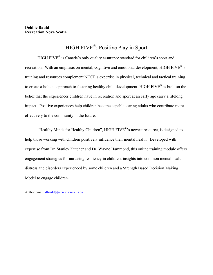# HIGH FIVE®: Positive Play in Sport

HIGH FIVE® is Canada's only quality assurance standard for children's sport and recreation. With an emphasis on mental, cognitive and emotional development, HIGH FIVE<sup>®</sup>'s training and resources complement NCCP's expertise in physical, technical and tactical training to create a holistic approach to fostering healthy child development. HIGH FIVE® is built on the belief that the experiences children have in recreation and sport at an early age carry a lifelong impact. Positive experiences help children become capable, caring adults who contribute more effectively to the community in the future.

"Healthy Minds for Healthy Children", HIGH FIVE®'s newest resource, is designed to help those working with children positively influence their mental health. Developed with expertise from Dr. Stanley Kutcher and Dr. Wayne Hammond, this online training module offers engagement strategies for nurturing resiliency in children, insights into common mental health distress and disorders experienced by some children and a Strength Based Decision Making Model to engage children.

Author email: dbauld@recreationns.ns.ca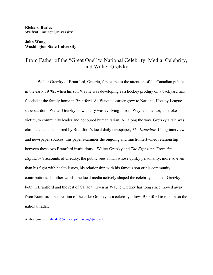**Richard Beales Wilfrid Laurier University**

#### **John Wong Washington State University**

### From Father of the "Great One" to National Celebrity: Media, Celebrity, and Walter Gretzky

Walter Gretzky of Brantford, Ontario, first came to the attention of the Canadian public in the early 1970s, when his son Wayne was developing as a hockey prodigy on a backyard rink flooded at the family home in Brantford. As Wayne's career grew to National Hockey League superstardom, Walter Gretzky's own story was evolving – from Wayne's mentor, to stroke victim, to community leader and honoured humanitarian. All along the way, Gretzky's tale was chronicled and supported by Brantford's local daily newspaper, *The Expositor*. Using interviews and newspaper sources, this paper examines the ongoing and much-intertwined relationship between these two Brantford institutions – Walter Gretzky and *The Expositor*. From *the Expositor's* accounts of Gretzky, the public sees a man whose quirky personality, more so even than his fight with health issues, his relationship with his famous son or his community contributions. In other words, the local media actively shaped the celebrity status of Gretzky both in Brantford and the rest of Canada. Even as Wayne Gretzky has long since moved away from Brantford, the creation of the elder Gretzky as a celebrity allows Brantford to remain on the national radar.

Author emails: rbeales@wlu.ca; john\_wong@wsu.edu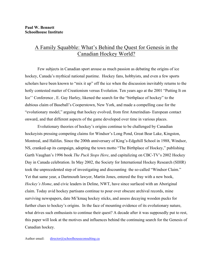### A Family Squabble: What's Behind the Quest for Genesis in the Canadian Hockey World?

Few subjects in Canadian sport arouse as much passion as debating the origins of ice hockey, Canada's mythical national pastime. Hockey fans, hobbyists, and even a few sports scholars have been known to "mix it up" off the ice when the discussion inevitably returns to the hotly contested matter of Creationism versus Evolution. Ten years ago at the 2001 "Putting It on Ice'' Conference , E. Gay Harley, likened the search for the "birthplace of hockey" to the dubious claim of Baseball's Cooperstown, New York, and made a compelling case for the "evolutionary model," arguing that hockey evolved, from first Amerindian- European contact onward, and that different aspects of the game developed over time in various places.

Evolutionary theories of hockey's origins continue to be challenged by Canadian hockeyists pressing competing claims for Windsor's Long Pond, Great Bear Lake, Kingston, Montreal, and Halifax. Since the 200th anniversary of King's-Edgehill School in 1988, Windsor, NS, cranked-up its campaign, adopting the town motto "The Birthplace of Hockey," publishing Garth Vaughan's 1996 book *The Puck Stops Here*, and capitalizing on CBC-TV's 2002 Hockey Day in Canada celebration. In May 2002, the Society for International Hockey Research (SIHR) took the unprecedented step of investigating and discounting the so-called "Windsor Claim." Yet that same year, a Dartmouth lawyer, Martin Jones, entered the fray with a new book, *Hockey's Home*, and civic leaders in Deline, NWT, have since surfaced with an Aboriginal claim. Today avid hockey partisans continue to pour over obscure archival records, mine surviving newspapers, date Mi'kmaq hockey sticks, and assess decaying wooden pucks for further clues to hockey's origins. In the face of mounting evidence of its evolutionary nature, what drives such enthusiasts to continue their quest? A decade after it was supposedly put to rest, this paper will look at the motives and influences behind the continuing search for the Genesis of Canadian hockey.

Author email: director@schoolhouseconsulting.ca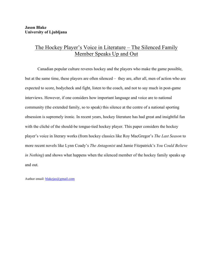### The Hockey Player's Voice in Literature – The Silenced Family Member Speaks Up and Out

Canadian popular culture reveres hockey and the players who make the game possible, but at the same time, these players are often silenced – they are, after all, men of action who are expected to score, bodycheck and fight, listen to the coach, and not to say much in post-game interviews. However, if one considers how important language and voice are to national community (the extended family, so to speak) this silence at the centre of a national sporting obsession is supremely ironic. In recent years, hockey literature has had great and insightful fun with the cliché of the should-be tongue-tied hockey player. This paper considers the hockey player's voice in literary works (from hockey classics like Roy MacGregor's *The Last Season* to more recent novels like Lynn Coady's *The Antagonist* and Jamie Fitzpatrick's *You Could Believe in Nothing*) and shows what happens when the silenced member of the hockey family speaks up and out.

Author email: blakejas@gmail.com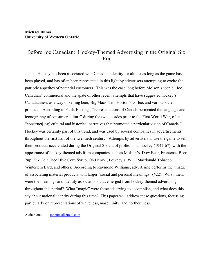#### **Michael Buma University of Western Ontario**

### Before Joe Canadian: Hockey-Themed Advertising in the Original Six Era

Hockey has been associated with Canadian identity for almost as long as the game has been played, and has often been represented in this light by advertisers attempting to excite the patriotic appetites of potential customers. This was the case long before Molson's iconic "Joe Canadian" commercial and the spate of other recent attempts that have suggested hockey's Canadianness as a way of selling beer, Big Macs, Tim Horton's coffee, and various other products. According to Paula Hastings, "representations of Canada permeated the language and iconography of consumer culture" during the two decades prior to the First World War, often "construct[ing] cultural and historical narratives that promoted a particular vision of Canada." Hockey was certainly part of this trend, and was used by several companies in advertisements throughout the first half of the twentieth century. Attempts by advertisers to use the game to sell their products accelerated during the Original Six era of professional hockey (1942-67), with the appearance of hockey-themed ads from companies such as Molson's, Dow Beer, Frontenac Beer, 7up, Kik Cola, Bee Hive Corn Syrup, Oh Henry!, Lowney's, W.C. Macdonald Tobacco, Winterlein Lard, and others. According to Raymond Williams, advertising performs the "magic" of associating material products with larger "social and personal meanings" (422). What, then, were the meanings and identity associations that emerged from hockey-themed advertising throughout this period? What "magic" were these ads trying to accomplish, and what does this say about national identity during this time? This paper will address these questions, focussing particularly on representations of whiteness, masculinity, and northernness.

Author email: mpbuma@gmail.com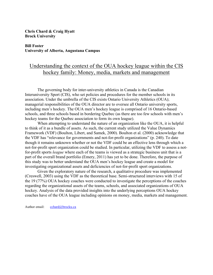#### **Chris Chard & Craig Hyatt Brock University**

#### **Bill Foster University of Alberta, Augustana Campus**

# Understanding the context of the OUA hockey league within the CIS hockey family: Money, media, markets and management

The governing body for inter-university athletics in Canada is the Canadian Interuniversity Sport (CIS), who set policies and procedures for the member schools in its association. Under the umbrella of the CIS exists Ontario University Athletics (OUA); managerial responsibilities of the OUA director are to oversee all Ontario university sports, including men's hockey. The OUA men's hockey league is comprised of 16 Ontario-based schools, and three schools based in bordering Quebec (as there are too few schools with men's hockey teams for the Quebec association to form its own league).

When attempting to understand the nature of an organization like the OUA, it is helpful to think of it as a bundle of assets. As such, the current study utilized the Value Dynamics Framework (VDF) (Boulton, Libert, and Samek, 2000). Boulton et al. (2000) acknowledge that the VDF has "relevance for governments and not-for-profit organizations" (p. 240). To date though it remains unknown whether or not the VDF could be an effective lens through which a not-for-profit sport organization could be studied. In particular, utilizing the VDF to assess a notfor-profit sports *league* where each of the teams is viewed as a strategic business unit that is a part of the overall brand portfolio (Emery, 2011) has yet to be done. Therefore, the purpose of this study was to better understand the OUA men's hockey league and create a model for investigating organizational assets and deficiencies of not-for-profit sport organizations.

Given the exploratory nature of the research, a qualitative procedure was implemented (Creswell, 2003) using the VDF as the theoretical base. Semi-structured interviews with 15 of the 19 (77%) OUA hockey coaches were conducted to investigate the perceptions of the coaches regarding the organizational assets of the teams, schools, and associated organizations of OUA hockey. Analysis of the data provided insights into the underlying perceptions OUA hockey coaches have of the OUA league including opinions on money, media, markets and management.

Author email: cchard@brocku.ca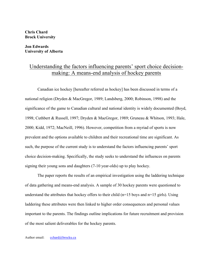#### **Chris Chard Brock University**

#### **Jon Edwards University of Alberta**

### Understanding the factors influencing parents' sport choice decisionmaking: A means-end analysis of hockey parents

Canadian ice hockey [hereafter referred as hockey] has been discussed in terms of a national religion (Dryden & MacGregor, 1989; Landsberg, 2000; Robinson, 1998) and the significance of the game to Canadian cultural and national identity is widely documented (Boyd, 1998; Cuthbert & Russell, 1997; Dryden & MacGregor, 1989; Gruneau & Whitson, 1993; Hale, 2000; Kidd, 1972; MacNeill, 1996). However, competition from a myriad of sports is now prevalent and the options available to children and their recreational time are significant. As such, the purpose of the current study is to understand the factors influencing parents' sport choice decision-making. Specifically, the study seeks to understand the influences on parents signing their young sons and daughters (7-10 year-olds) up to play hockey.

The paper reports the results of an empirical investigation using the laddering technique of data gathering and means-end analysis. A sample of 30 hockey parents were questioned to understand the attributes that hockey offers to their child ( $n=15$  boys and  $n=15$  girls). Using laddering these attributes were then linked to higher order consequences and personal values important to the parents. The findings outline implications for future recruitment and provision of the most salient deliverables for the hockey parents.

Author email: cchard@brocku.ca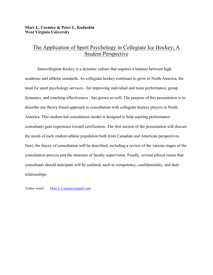#### **Marc L. Cormier & Peter L. Kadushin West Virginia University**

### The Application of Sport Psychology in Collegiate Ice Hockey; A Student Perspective

Intercollegiate hockey is a dynamic culture that requires a balance between high academic and athletic standards. As collegiate hockey continues to grow in North America, the need for sport psychology services - for improving individual and team performance, group dynamics, and coaching effectiveness - has grown as well. The purpose of this presentation is to describe one theory-based approach to consultation with collegiate hockey players in North America. This student-led consultation model is designed to help aspiring performance consultants gain experience toward certification. The first section of the presentation will discuss the needs of each student-athlete population both from Canadian and American perspectives. Next, the theory of consultation will be described, including a review of the various stages of the consultation process and the structure of faculty supervision. Finally, several ethical issues that consultants should anticipate will be outlined, such as competency, confidentiality, and dual relationships.

Author email: Marc.L.Cormier@gmail.com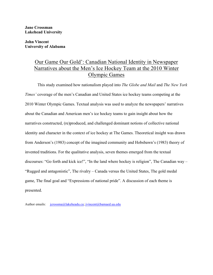**Jane Crossman Lakehead University**

**John Vincent University of Alabama**

# Our Game Our Gold': Canadian National Identity in Newspaper Narratives about the Men's Ice Hockey Team at the 2010 Winter Olympic Games

This study examined how nationalism played into *The Globe and Mail* and *The New York Times'* coverage of the men's Canadian and United States ice hockey teams competing at the 2010 Winter Olympic Games. Textual analysis was used to analyze the newspapers' narratives about the Canadian and American men's ice hockey teams to gain insight about how the narratives constructed, (re)produced, and challenged dominant notions of collective national identity and character in the context of ice hockey at The Games. Theoretical insight was drawn from Anderson's (1983) concept of the imagined community and Hobsbawn's (1983) theory of invented traditions. For the qualitative analysis, seven themes emerged from the textual discourses: "Go forth and kick ice!", "In the land where hockey is religion", The Canadian way – "Rugged and antagonistic", The rivalry – Canada versus the United States, The gold medal game, The final goal and "Expressions of national pride". A discussion of each theme is presented.

Author emails: jcrossma@lakeheadu.ca; jvincent@bamaed.ua.edu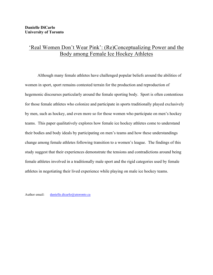# 'Real Women Don't Wear Pink': (Re)Conceptualizing Power and the Body among Female Ice Hockey Athletes

Although many female athletes have challenged popular beliefs around the abilities of women in sport, sport remains contested terrain for the production and reproduction of hegemonic discourses particularly around the female sporting body. Sport is often contentious for those female athletes who colonize and participate in sports traditionally played exclusively by men, such as hockey, and even more so for those women who participate on men's hockey teams. This paper qualitatively explores how female ice hockey athletes come to understand their bodies and body ideals by participating on men's teams and how these understandings change among female athletes following transition to a women's league. The findings of this study suggest that their experiences demonstrate the tensions and contradictions around being female athletes involved in a traditionally male sport and the rigid categories used by female athletes in negotiating their lived experience while playing on male ice hockey teams.

Author email: danielle.dicarlo@utoronto.ca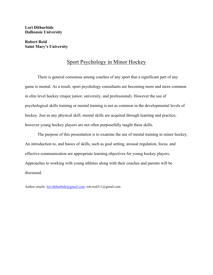**Lori Dithurbide Dalhousie University**

**Robert Reid Saint Mary's University**

### Sport Psychology in Minor Hockey

There is general consensus among coaches of any sport that a significant part of any game is mental. As a result, sport psychology consultants are becoming more and more common in elite level hockey (major junior, university, and professional). However the use of psychological skills training or mental training is not as common in the developmental levels of hockey. Just as any physical skill, mental skills are acquired through learning and practice, however young hockey players are not often purposefully taught these skills.

The purpose of this presentation is to examine the use of mental training in minor hockey. An introduction to, and basics of skills, such as goal setting, arousal regulation, focus, and effective communication are appropriate learning objectives for young hockey players. Approaches to working with young athletes along with their coaches and parents will be discussed.

Author emails: lori.dithurbide@gmail.com; rob.reid311@gmail.com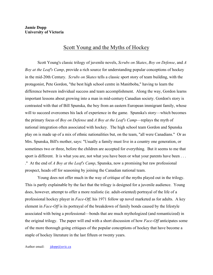### Scott Young and the Myths of Hockey

Scott Young's classic trilogy of juvenile novels, *Scrubs on Skates*, *Boy on Defense*, and *A Boy at the Leaf's Camp*, provide a rich source for understanding popular conceptions of hockey in the mid-20th Century. *Scrubs on Skates* tells a classic sport story of team building, with the protagonist, Pete Gordon, "the best high school centre in Manitboba," having to learn the difference between individual success and team accomplishment. Along the way, Gordon learns important lessons about growing into a man in mid-century Canadian society. Gordon's story is contrasted with that of Bill Spunska, the boy from an eastern European immigrant family, whose will to succeed overcomes his lack of experience in the game. Spunska's story—which becomes the primary focus of *Boy on Defense* and *A Boy at the Leaf's Camp*—replays the myth of national integration often associated with hockey. The high school team Gordon and Spunska play on is made up of a mix of ethnic nationalities but, on the team, "all were Canadians." Or as Mrs. Spunska, Bill's mother, says: "Usually a family must live in a country one generation, or sometimes two or three, before the children are accepted for everything. But it seems to me that sport is different. It is what you are, not what you have been or what your parents have been . . . ." At the end of *A Boy at the Leaf's Camp*, Spunska, now a promising but raw professional prospect, heads off for seasoning by joining the Canadian national team.

Young does not offer much in the way of critique of the myths played out in the trilogy. This is partly explainable by the fact that the trilogy is designed for a juvenile audience. Young does, however, attempt to offer a more realistic (ie. adult-oriented) portrayal of the life of a professional hockey player in *Face-Off,* his 1971 follow up novel marketed as for adults. A key element in *Face-Off* is its portrayal of the breakdown of family bonds caused by the lifestyle associated with being a professional—bonds that are much mythologized (and romanticized) in the original trilogy. The paper will end with a short discussion of how *Face-Off* anticipates some of the more thorough going critiques of the popular conceptions of hockey that have become a staple of hockey literature in the last fifteen or twenty years.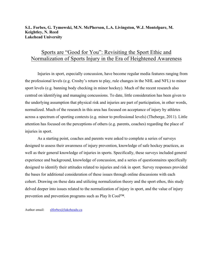#### **S.L. Forbes, G. Tymowski, M.N. McPherson, L.A. Livingston, W.J. Montelpare, M. Keightley, N. Reed Lakehead University**

### Sports are "Good for You": Revisiting the Sport Ethic and Normalization of Sports Injury in the Era of Heightened Awareness

Injuries in sport, especially concussion, have become regular media features ranging from the professional levels (e.g. Crosby's return to play, rule changes in the NHL and NFL) to minor sport levels (e.g. banning body checking in minor hockey). Much of the recent research also centred on identifying and managing concussions. To date, little consideration has been given to the underlying assumption that physical risk and injuries are part of participation, in other words, normalized. Much of the research in this area has focused on acceptance of injury by athletes across a spectrum of sporting contexts (e.g. minor to professional levels) (Theberge, 2011). Little attention has focused on the perceptions of others (e.g. parents, coaches) regarding the place of injuries in sport.

As a starting point, coaches and parents were asked to complete a series of surveys designed to assess their awareness of injury prevention, knowledge of safe hockey practices, as well as their general knowledge of injuries in sports. Specifically, these surveys included general experience and background, knowledge of concussion, and a series of questionnaires specifically designed to identify their attitudes related to injuries and risk in sport. Survey responses provided the bases for additional consideration of these issues through online discussions with each cohort. Drawing on these data and utilizing normalization theory and the sport ethos, this study delved deeper into issues related to the normalization of injury in sport, and the value of injury prevention and prevention programs such as Play It Cool™.

Author email: slforbes@lakeheadu.ca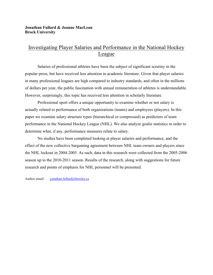#### **Jonathan Fullard & Joanne MacLean Brock University**

### Investigating Player Salaries and Performance in the National Hockey League

Salaries of professional athletes have been the subject of significant scrutiny in the popular press, but have received less attention in academic literature. Given that player salaries in many professional leagues are high compared to industry standards, and often in the millions of dollars per year, the public fascination with annual remuneration of athletes is understandable. However, surprisingly, this topic has received less attention in scholarly literature.

Professional sport offers a unique opportunity to examine whether or not salary is actually related to performance of both organizations (teams) and employees (players). In this paper we examine salary structure types (hierarchical or compressed) as predictors of team performance in the National Hockey League (NHL). We also analyze goalie statistics in order to determine what, if any, performance measures relate to salary.

No studies have been completed looking at player salaries and performance, and the effect of the new collective bargaining agreement between NHL team owners and players since the NHL lockout in 2004-2005. As such, data in this research were collected from the 2005-2006 season up to the 2010-2011 season. Results of the research, along with suggestions for future research and points of emphasis for NHL personnel will be presented.

Author email: jonathan.fullard@brocku.ca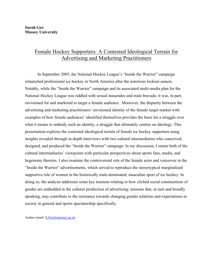# Female Hockey Supporters: A Contested Ideological Terrain for Advertising and Marketing Practitioners

In September 2005, the National Hockey League's "Inside the Warrior" campaign relaunched professional ice hockey in North America after the notorious lockout season. Notably, while the "Inside the Warrior" campaign and its associated multi-media plan for the National Hockey League was riddled with sexual innuendos and male bravado, it was, in part, envisioned for and marketed to target a female audience. Moreover, the disparity between the advertising and marketing practitioners' envisioned identity of the female target market with examples of how female audiences' identified themselves provides the basis for a struggle over what it means to embody such an identity, a struggle that ultimately centres on ideology. This presentation explores the contested ideological terrain of female ice hockey supporters using insights revealed through in-depth interviews with two cultural intermediaries who conceived, designed, and produced the "Inside the Warrior" campaign. In my discussion, I suture both of the cultural intermediaries' viewpoints with particular perspectives about sports fans, media, and hegemony theories. I also examine the controversial role of the female actor and voiceover in the "Inside the Warrior" advertisements, which served to reproduce the stereotypical marginalised supportive role of women in the historically male-dominated, masculine sport of ice hockey. In doing so, the analysis addresses some key tensions relating to how clichéd social constructions of gender are embedded in the cultural production of advertising; tensions that, in turn and broadly speaking, may contribute to the resistance towards changing gender relations and expectations in society in general and sports spectatorship specifically.

Author email: S.Gee@massey.ac.nz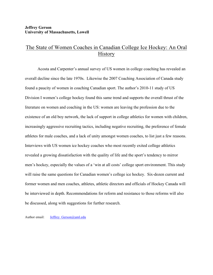### The State of Women Coaches in Canadian College Ice Hockey: An Oral **History**

Acosta and Carpenter's annual survey of US women in college coaching has revealed an overall decline since the late 1970s. Likewise the 2007 Coaching Association of Canada study found a paucity of women in coaching Canadian sport. The author's 2010-11 study of US Division I women's college hockey found this same trend and supports the overall thrust of the literature on women and coaching in the US: women are leaving the profession due to the existence of an old boy network, the lack of support in college athletics for women with children, increasingly aggressive recruiting tactics, including negative recruiting, the preference of female athletes for male coaches, and a lack of unity amongst women coaches, to list just a few reasons. Interviews with US women ice hockey coaches who most recently exited college athletics revealed a growing dissatisfaction with the quality of life and the sport's tendency to mirror men's hockey, especially the values of a 'win at all costs' college sport environment. This study will raise the same questions for Canadian women's college ice hockey. Six-dozen current and former women and men coaches, athletes, athletic directors and officials of Hockey Canada will be interviewed in depth. Recommendations for reform and resistance to those reforms will also be discussed, along with suggestions for further research.

Author email: Jeffrey Gerson@uml.edu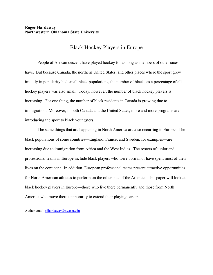#### **Roger Hardaway Northwestern Oklahoma State University**

### Black Hockey Players in Europe

People of African descent have played hockey for as long as members of other races have. But because Canada, the northern United States, and other places where the sport grew initially in popularity had small black populations, the number of blacks as a percentage of all hockey players was also small. Today, however, the number of black hockey players is increasing. For one thing, the number of black residents in Canada is growing due to immigration. Moreover, in both Canada and the United States, more and more programs are introducing the sport to black youngsters.

The same things that are happening in North America are also occurring in Europe. The black populations of some countries—England, France, and Sweden, for examples—are increasing due to immigration from Africa and the West Indies. The rosters of junior and professional teams in Europe include black players who were born in or have spent most of their lives on the continent. In addition, European professional teams present attractive opportunities for North American athletes to perform on the other side of the Atlantic. This paper will look at black hockey players in Europe—those who live there permanently and those from North America who move there temporarily to extend their playing careers.

Author email: rdhardaway@nwosu.edu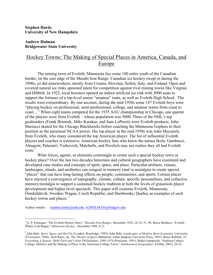**Stephen Hardy University of New Hampshire**

#### **Andrew Holman Bridgewater State University**

### Hockey Towns: The Making of Special Places in America, Canada, and Europe

The mining town of Eveleth, Minnesota lies some 100 miles south of the Canadian border, on the east edge of the Mesabi Iron Range. Canadian ice hockey swept in during the 1890s; so did mineworkers, mostly from Croatia, Slovenia, Serbia, Italy, and Finland. Open and covered natural ice rinks spawned talent for competition against rival mining towns like Virginia and Hibbith. In 1923, local boosters opened an indoor artificial ice rink with 3000 seats to support the fortunes of a top-level senior "amateur" team, as well as Eveleth High School. The results were extraordinary. By one account, during the mid-1930s some 147 Eveleth boys were "playing hockey on professional, semi-professional, college, and amateur teams from coast to coast…" When eight teams competed for the 1935 AAU championship in Chicago, one quarter of the players were from Eveleth – whose population was 5000. Three of the NHL's top goaltenders (Frank Brimsek, Mike Karakas, and Sam LoPresti) were Eveleth products. John Mariucci skated for the Chicago Blackhawks before coaching the Minnesota Gophers to their position as the perennial NCAA power. His top player in the mid-1950s was John Mayasich, from Eveleth, who many considered the top American player. The list of influential Eveleth players and coaches is extensive; American hockey fans who know the names Ikola, Gambucci, Almquist, Palazarri, Yurkovich, Matchefts, and Pavelich may not realize they all had Eveleth roots. $<sup>1</sup>$ </sup>

What forces, agents, or elements commingle to create such a special hockey town or hockey place? Over the last two decades historians and cultural geographers have examined and developed case studies and concepts of sport, space, and place. Particular artifacts, venues, landscapes, rituals, and aesthetics can congeal in memory (and in nostalgia) to create special "places" that can have long-lasting effects on people, communities, and sports. Certain places have enjoyed a convergence of topography, climate, culture, specific personalities, and collective memory/nostalgia to support a sustained hockey tradition at both the levels of grassroots player development and higher level spectacle. This paper will examine Eveleth, Minnesota; Örnsköldsvik, Sweden; Prague, Czech Republic; and Sherbrooke, Quebec as examples of such hockey towns and places.<sup>2</sup>

Author emails: stephen.hardy@unh.edu; A2HOLMAN@bridgew.edu

 <sup>1</sup> G. P. Finnegan, "The Eveleth Hockey Story," *Missabe Iron Ranger*, December 1952, 16-18, 31, 49; Bruce Brothers, "Eveleth – Where it all Began," *Minnesota Hockey*, December 1989, 8-12

<sup>2</sup> John Bale, *Sport, Space and the City* (London: Routledge, 1993); John Bale, *Landscapes of Modern Sport* (Leicester: University of Leicester, 1994); Karl Raitz, ed., *The Theater of Sport* (Baltimore: Johns Hopkins University Press, 1995). Bruce Kuklick, *To Everything A Season: Shibe Park and Urban Philadelphia, 1909-1976* (Princeton, 1991); Blake Gumprecht, "Stadium Culture: College Athletics and the Making of Place in the American College Town," *Southeastern Geographer*, 43(May 2003), 28-53.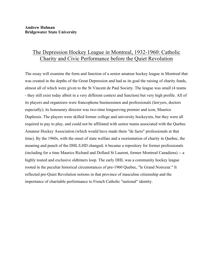### The Depression Hockey League in Montreal, 1932-1960: Catholic Charity and Civic Performance before the Quiet Revolution

The essay will examine the form and function of a senior amateur hockey league in Montreal that was created in the depths of the Great Depression and had as its goal the raising of charity funds, almost all of which were given to the St Vincent de Paul Society. The league was small (4 teams - they still exist today albeit in a very different context and function) but very high profile. All of its players and organizers were francophone businessmen and professionals (lawyers, doctors especially); its honourary director was two-time longserving premier and icon, Maurice Duplessis. The players were skilled former college and university hockeyists, but they were all required to pay to play, and could not be affiliated with senior teams associated with the Quebec Amateur Hockey Association (which would have made them "de facto" professionals at that time). By the 1960s, with the onset of state welfare and a reorientation of charity in Quebec, the meaning and punch of the DHL/LHD changed; it became a repository for former professionals (including for a time Maurice Richard and Dollard St Laurent, former Montreal Canadiens) -- a highly touted and exclusive oldtimers loop. The early DHL was a community hockey league rooted in the peculiar historical circumstances of pre-1960 Quebec, "le Grand Noirceur." It reflected pre-Quiet Revolution notions in that province of masculine citizenship and the importance of charitable performance to French Catholic "national" identity.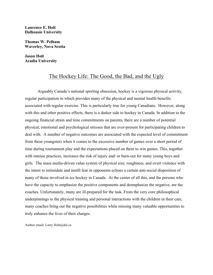**Laurence E. Holt Dalhousie University**

**Thomas W. Pelham Waverley, Nova Scotia**

**Jason Holt Acadia University**

### The Hockey Life: The Good, the Bad, and the Ugly

Arguably Canada's national sporting obsession, hockey is a vigorous physical activity, regular participation in which provides many of the physical and mental health benefits associated with regular exercise. This is particularly true for young Canadians. However, along with this and other positive effects, there is a darker side to hockey in Canada. In addition to the ongoing financial strain and time commitments on parents, there are a number of potential physical, emotional and psychological stresses that are ever-present for participating children to deal with. A number of negative outcomes are associated with the expected level of commitment from these youngsters when it comes to the excessive number of games over a short period of time during tournament play and the expectations placed on them to win games. This, together with intense practices, increases the risk of injury and/ or burn-out for many young boys and girls. The mass media-driven value system of physical size, roughness, and overt violence with the intent to intimidate and instill fear in opponents echoes a certain anti-social disposition of many of those involved in ice hockey in Canada. At the center of all this, and the persons who have the capacity to emphasize the positive components and deemphasize the negative, are the coaches. Unfortunately, many are ill-prepared for the task. From the very core philosophical underpinnings to the physical training and personal interactions with the children in their care, many coaches bring out the negative possibilities while missing many valuable opportunities to truly enhance the lives of their charges.

Author email: Larry.Holt@dal.ca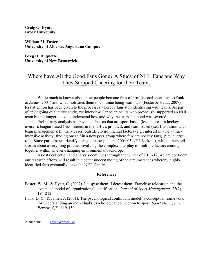**Craig G. Hyatt Brock University**

**William M. Foster University of Alberta, Augustana Campus**

**Greg H. Duquette University of New Brunswick**

### Where have All the Good Fans Gone? A Study of NHL Fans and Why They Stopped Cheering for their Teams

While much is known about how people become fans of professional sport teams (Funk) & James, 2001) and what motivates them to continue being team fans (Foster & Hyatt, 2007), less attention has been given to the processes whereby fans stop identifying with teams. As part of an ongoing qualitative study, we interview Canadian adults who previously supported an NHL team but no longer do so to understand how and why the team-fan bond was severed.

Preliminary analysis has revealed factors that are sport-based (less interest in hockey overall), league-based (less interest in the NHL's product), and team-based (i.e., frustration with team management). In many cases, outside environmental factors (e.g., interest in a new timeintensive activity, finding oneself in a new peer group where few are hockey fans), play a large role. Some participants identify a single cause (i.e., the 2004-05 NHL lockout), while others tell stories about a very long process involving the complex interplay of multiple factors coming together within an ever-changing environmental backdrop.

As data collection and analysis continues through the winter of 2011-12, we are confident our research efforts will result in a better understanding of the circumstances whereby highly identified fans eventually leave the NHL family.

#### **References**

- Foster, W. M., & Hyatt, C. (2007). I despise them! I detest them! Franchise relocation and the expanded model of organizational identification. *Journal of Sport Management, 21*(2), 194-212.
- Funk, D. C., & James, J. (2001). The psychological continuum model: a conceptual framework for understanding an individual's psychological connection to sport. *Sport Management Review, 4*(2), 119-150.

Author email: chyatt@brocku.ca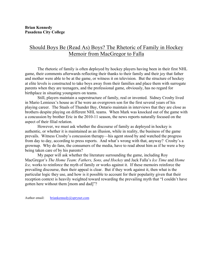# Should Boys Be (Read As) Boys? The Rhetoric of Family in Hockey Memoir from MacGregor to Falla

The rhetoric of family is often deployed by hockey players having been in their first NHL game, their comments afterwards reflecting their thanks to their family and their joy that father and mother were able to be at the game, or witness it on television. But the structure of hockey at elite levels is constructed to take boys away from their families and place them with surrogate parents when they are teenagers, and the professional game, obviously, has no regard for birthplace in situating youngsters on teams.

Still, players maintain a superstructure of family, real or invented. Sidney Crosby lived in Mario Lemieux's house as if he were an overgrown son for the first several years of his playing career. The Staals of Thunder Bay, Ontario maintain in interviews that they are close as brothers despite playing on different NHL teams. When Mark was knocked out of the game with a concussion by brother Eric in the 2010-11 season, the news reports naturally focused on the aspect of their filial relation.

However, we must ask whether the discourse of family as deployed in hockey is authentic, or whether it is maintained as an illusion, while in reality, the business of the game prevails. Witness Crosby's concussion therapy—his agent stood by and watched the progress from day to day, according to press reports. And what's wrong with that, anyway? Crosby's a grownup. Why do fans, the consumers of the media, have to read about him as if he were a boy being taken care of by his parents?

My paper will ask whether the literature surrounding the game, including Roy MacGregor's *The Home Team: Fathers, Sons, and Hockey* and Jack Falla's *Ice Time* and *Home Ice,* works to reinforce the myth of family or works against it. If these memoirs reinforce the prevailing discourse, then their appeal is clear. But if they work against it, then what is the particular logic they use, and how is it possible to account for their popularity given that their reception context is heavily weighted toward rewarding the prevailing myth that "I couldn't have gotten here without them [mom and dad]"?

Author email: briankennedy@sprynet.com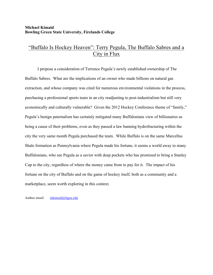#### **Michael Kimaid Bowling Green State University, Firelands College**

# "Buffalo Is Hockey Heaven": Terry Pegula, The Buffalo Sabres and a City in Flux

I propose a consideration of Terrence Pegula's newly established ownership of The Buffalo Sabres. What are the implications of an owner who made billions on natural gas extraction, and whose company was cited for numerous environmental violations in the process, purchasing a professional sports team in an city readjusting to post-industrialism but still very economically and culturally vulnerable? Given the 2012 Hockey Conference theme of "family," Pegula's benign paternalism has certainly mitigated many Buffalonians view of billionaires as being a cause of their problems, even as they passed a law banning hydrofracturing within the city the very same month Pegula purchased the team. While Buffalo is on the same Marcellus Shale formation as Pennsylvania where Pegula made his fortune, it seems a world away to many Buffalonians, who see Pegula as a savior with deep pockets who has promised to bring a Stanley Cup to the city, regardless of where the money came from to pay for it. The impact of his fortune on the city of Buffalo and on the game of hockey itself, both as a community and a marketplace, seem worth exploring in this context.

Author email: mkimaid@bgsu.edu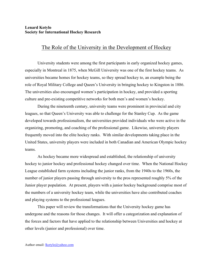#### **Lenard Kotylo Society for International Hockey Research**

### The Role of the University in the Development of Hockey

University students were among the first participants in early organized hockey games, especially in Montreal in 1875, when McGill University was one of the first hockey teams. As universities became homes for hockey teams, so they spread hockey to, an example being the role of Royal Military College and Queen's University in bringing hockey to Kingston in 1886. The universities also encouraged women's participation in hockey, and provided a sporting culture and pre-existing competitive networks for both men's and women's hockey.

During the nineteenth century, university teams were prominent in provincial and city leagues, so that Queen's University was able to challenge for the Stanley Cup. As the game developed towards professionalism, the universities provided individuals who were active in the organizing, promoting, and coaching of the professional game. Likewise, university players frequently moved into the elite hockey ranks. With similar developments taking place in the United States, university players were included in both Canadian and American Olympic hockey teams.

As hockey became more widespread and established, the relationship of university hockey to junior hockey and professional hockey changed over time. When the National Hockey League established farm systems including the junior ranks, from the 1940s to the 1960s, the number of junior players passing through university to the pros represented roughly 5% of the Junior player population. At present, players with a junior hockey background comprise most of the numbers of a university hockey team, while the universities have also contributed coaches and playing systems to the professional leagues.

This paper will review the transformations that the University hockey game has undergone and the reasons for those changes. It will offer a categorization and explanation of the forces and factors that have applied to the relationship between Universities and hockey at other levels (junior and professional) over time.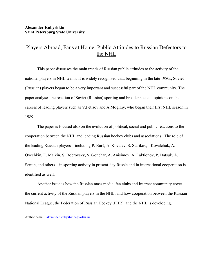### Players Abroad, Fans at Home: Public Attitudes to Russian Defectors to the NHL

This paper discusses the main trends of Russian public attitudes to the activity of the national players in NHL teams. It is widely recognized that, beginning in the late 1980s, Soviet (Russian) players began to be a very important and successful part of the NHL community. The paper analyses the reaction of Soviet (Russian) sporting and broader societal opinions on the careers of leading players such as V.Fetisov and A.Mogilny, who began their first NHL season in 1989.

The paper is focused also on the evolution of political, social and public reactions to the cooperation between the NHL and leading Russian hockey clubs and associations. The role of the leading Russian players – including P. Buré, A. Kovalev, S. Starikov, I Kovalchuk, A. Ovechkin, E. Malkin, S. Bobrovsky, S. Gonchar, A. Anisimov, A. Laktionov, P. Datsuk, A. Semin, and others – in sporting activity in present-day Russia and in international cooperation is identified as well.

Another issue is how the Russian mass media, fan clubs and Internet community cover the current activity of the Russian players in the NHL, and how cooperation between the Russian National League, the Federation of Russian Hockey (FHR), and the NHL is developing.

Author e-mail: alexander.kubyshkin@volsu.ru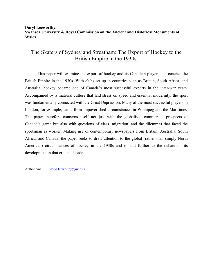#### **Daryl Leeworthy, Swansea University & Royal Commission on the Ancient and Historical Monuments of Wales**

### The Skaters of Sydney and Streatham: The Export of Hockey to the British Empire in the 1930s.

This paper will examine the export of hockey and its Canadian players and coaches the British Empire in the 1930s. With clubs set up in countries such as Britain, South Africa, and Australia, hockey became one of Canada's most successful exports in the inter-war years. Accompanied by a material culture that laid stress on speed and essential modernity, the sport was fundamentally connected with the Great Depression. Many of the most successful players in London, for example, came from impoverished circumstances in Winnipeg and the Maritimes. The paper therefore concerns itself not just with the globalised commercial prospects of Canada's game but also with questions of class, migration, and the dilemmas that faced the sportsman as worker. Making use of contemporary newspapers from Britain, Australia, South Africa, and Canada, the paper seeks to draw attention to the global (rather than simply North American) circumstances of hockey in the 1930s and to add further to the debate on its development in that crucial decade.

Author email: daryl.leeworthy@uvic.ca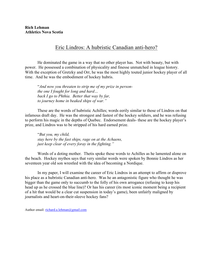### Eric Lindros: A hubristic Canadian anti-hero?

He dominated the game in a way that no other player has. Not with beauty, but with power. He possessed a combination of physicality and finesse unmatched in league history. With the exception of Gretzky and Orr, he was the most highly touted junior hockey player of all time. And he was the embodiment of hockey hubris.

"*And now you threaten to strip me of my prize in personthe one I fought for long and hard… back I go to Phthia. Better that way by far, to journey home in beaked ships of war."*

These are the words of hubristic Achilles; words eerily similar to those of Lindros on that infamous draft day. He was the strongest and fastest of the hockey soldiers, and he was refusing to perform his magic in the depths of Quebec. Endorsement deals- these are the hockey player's prize, and Lindros was to be stripped of his hard earned prize.

"*But you, my child, stay here by the fast ships, rage on at the Achaens, just keep clear of every foray in the fighting."*

Words of a doting mother. Thetis spoke these words to Achilles as he lamented alone on the beach. Hockey mythos says that very similar words were spoken by Bonnie Lindros as her seventeen year old son wrestled with the idea of becoming a Nordique.

In my paper, I will examine the career of Eric Lindros in an attempt to affirm or disprove his place as a hubristic Canadian anti-hero. Was he an antagonistic figure who thought he was bigger than the game only to succumb to the folly of his own arrogance (refusing to keep his head up as he crossed the blue line)? Or has his career (its most iconic moment being a recipient of a hit that would be a clear cut suspension in today's game), been unfairly maligned by journalists and heart-on-their-sleeve hockey fans?

Author email: richard.a.lehman@gmail.com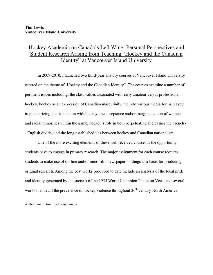# Hockey Academia on Canada's Left Wing: Personal Perspectives and Student Research Arising from Teaching "Hockey and the Canadian Identity" at Vancouver Island University

In 2009-2010, I launched two third-year History courses at Vancouver Island University centred on the theme of 'Hockey and the Canadian Identity". The courses examine a number of pertinent issues including: the class values associated with early amateur versus professional hockey, hockey as an expression of Canadian masculinity, the role various media forms played in popularizing the fascination with hockey, the acceptance and/or marginalization of women and racial minorities within the game, hockey's role in both perpetuating and easing the French - - English divide, and the long-established ties between hockey and Canadian nationalism.

One of the more exciting elements of these well received courses is the opportunity students have to engage in primary research. The major assignment for each course requires students to make use of on-line and/or microfilm newspaper holdings as a basis for producing original research. Among the best works produced to date include an analysis of the local pride and identity generated by the success of the 1955 World Champion Penticton Vees, and several works that detail the prevalence of hockey violence throughout  $20<sup>th</sup>$  century North America.

Author email: timothy.lewis@viu.ca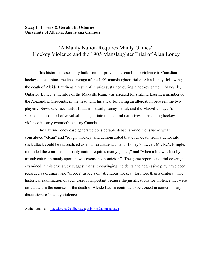#### **Stacy L. Lorenz & Geraint B. Osborne University of Alberta, Augustana Campus**

# "A Manly Nation Requires Manly Games": Hockey Violence and the 1905 Manslaughter Trial of Alan Loney

This historical case study builds on our previous research into violence in Canadian hockey. It examines media coverage of the 1905 manslaughter trial of Alan Loney, following the death of Alcide Laurin as a result of injuries sustained during a hockey game in Maxville, Ontario. Loney, a member of the Maxville team, was arrested for striking Laurin, a member of the Alexandria Crescents, in the head with his stick, following an altercation between the two players. Newspaper accounts of Laurin's death, Loney's trial, and the Maxville player's subsequent acquittal offer valuable insight into the cultural narratives surrounding hockey violence in early twentieth-century Canada.

The Laurin-Loney case generated considerable debate around the issue of what constituted "clean" and "rough" hockey, and demonstrated that even death from a deliberate stick attack could be rationalized as an unfortunate accident. Loney's lawyer, Mr. R.A. Pringle, reminded the court that "a manly nation requires manly games," and "when a life was lost by misadventure in manly sports it was excusable homicide." The game reports and trial coverage examined in this case study suggest that stick-swinging incidents and aggressive play have been regarded as ordinary and "proper" aspects of "strenuous hockey" for more than a century. The historical examination of such cases is important because the justifications for violence that were articulated in the context of the death of Alcide Laurin continue to be voiced in contemporary discussions of hockey violence.

Author emails: stacy.lorenz@ualberta.ca; osborne@augustana.ca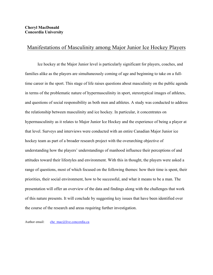### Manifestations of Masculinity among Major Junior Ice Hockey Players

Ice hockey at the Major Junior level is particularly significant for players, coaches, and families alike as the players are simultaneously coming of age and beginning to take on a fulltime career in the sport. This stage of life raises questions about masculinity on the public agenda in terms of the problematic nature of hypermasculinity in sport, stereotypical images of athletes, and questions of social responsibility as both men and athletes. A study was conducted to address the relationship between masculinity and ice hockey. In particular, it concentrates on hypermasculinity as it relates to Major Junior Ice Hockey and the experience of being a player at that level. Surveys and interviews were conducted with an entire Canadian Major Junior ice hockey team as part of a broader research project with the overarching objective of understanding how the players' understandings of manhood influence their perceptions of and attitudes toward their lifestyles and environment. With this in thought, the players were asked a range of questions, most of which focused on the following themes: how their time is spent, their priorities, their social environment, how to be successful, and what it means to be a man. The presentation will offer an overview of the data and findings along with the challenges that work of this nature presents. It will conclude by suggesting key issues that have been identified over the course of the research and areas requiring further investigation.

Author email: che mac@live.concordia.ca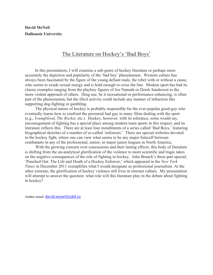**David McNeil Dalhousie University**

### The Literature on Hockey's 'Bad Boys'

 In this presentation, I will examine a sub-genre of hockey literature or perhaps more accurately the depiction and popularity of the 'bad boy' phenomenon. Western culture has always been fascinated by the figure of the young defiant male, the rebel with or without a cause, who seems to exude sexual energy and is bold enough to cross the line. Modern sport has had its classic examples ranging from the playboy figures of Joe Namath or Derek Sanderson to the more violent approach of others. Drug use, be it recreational or performance-enhancing, is often part of the phenomenon, but the illicit activity could include any manner of infraction like supporting dog-fighting or gambling.

 The physical nature of hockey is probably responsible for the ever-popular good-guy who eventually learns how to confront the perennial bad guy in many films dealing with the sport (e.g., *Youngblood*, *The Rocket*, etc.). Hockey, however, with its tolerance, some would say, encouragement of fighting has a special place among modern team sports in this respect, and its literature reflects this. There are at least four installments of a series called 'Bad Boys,' featuring biographical sketches of a number of so-called 'enforcers.' There are special websites devoted to the hockey fight, where one can view what seems to be any major fisticuff between combatants in any of the professional, senior, or major junior leagues in North America.

 With the growing concern over concussions and their lasting effects, this body of literature is shifting from the un-analytical glorification of the violence to more scientific and tragic takes on the negative consequences of the role of fighting in hockey. John Branch's three-part special, 'Punched Out: The Life and Death of a Hockey Enforcer,' which appeared in the *New York Times* in December 2011 exemplifies what I would designate as professional journalism. At the other extreme, the glorification of hockey violence still lives in internet culture. My presentation will attempt to answer the question: what role will this literature play in the debate about fighting in hockey?

Author email: david.mcneil@dal.ca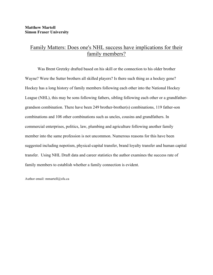### Family Matters: Does one's NHL success have implications for their family members?

Was Brent Gretzky drafted based on his skill or the connection to his older brother Wayne? Were the Sutter brothers all skilled players? Is there such thing as a hockey gene? Hockey has a long history of family members following each other into the National Hockey League (NHL), this may be sons following fathers, sibling following each other or a grandfathergrandson combination. There have been 249 brother-brother(s) combinations, 119 father-son combinations and 108 other combinations such as uncles, cousins and grandfathers. In commercial enterprises, politics, law, plumbing and agriculture following another family member into the same profession is not uncommon. Numerous reasons for this have been suggested including nepotism, physical-capital transfer, brand loyalty transfer and human capital transfer. Using NHL Draft data and career statistics the author examines the success rate of family members to establish whether a family connection is evident.

Author email: mmartell@sfu.ca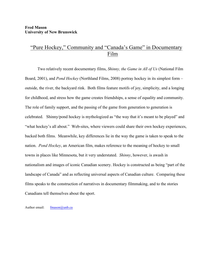# "Pure Hockey," Community and "Canada's Game" in Documentary Film

Two relatively recent documentary films, *Shinny, the Game in All of Us* (National Film Board, 2001), and *Pond Hockey* (Northland Films, 2008) portray hockey in its simplest form – outside, the river, the backyard rink. Both films feature motifs of joy, simplicity, and a longing for childhood, and stress how the game creates friendships, a sense of equality and community. The role of family support, and the passing of the game from generation to generation is celebrated. Shinny/pond hockey is mythologized as "the way that it's meant to be played" and "what hockey's all about." Web-sites, where viewers could share their own hockey experiences, backed both films. Meanwhile, key differences lie in the way the game is taken to speak to the nation. *Pond Hockey*, an American film, makes reference to the meaning of hockey to small towns in places like Minnesota, but it very understated. *Shinny*, however, is awash in nationalism and images of iconic Canadian scenery. Hockey is constructed as being "part of the landscape of Canada" and as reflecting universal aspects of Canadian culture. Comparing these films speaks to the construction of narratives in documentary filmmaking, and to the stories Canadians tell themselves about the sport.

Author email: fmason@unb.ca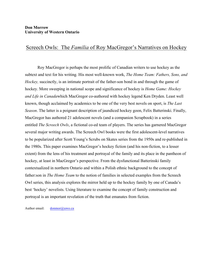### Screech Owls: The *Familia* of Roy MacGregor's Narratives on Hockey

Roy MacGregor is perhaps the most prolific of Canadian writers to use hockey as the subtext and text for his writing. His most well-known work, *The Home Team: Fathers, Sons, and Hockey,* succinctly, is an intimate portrait of the father-son bond in and through the game of hockey. More sweeping in national scope and significance of hockey is *Home Game: Hockey and Life in Canada*which MacGregor co-authored with hockey legend Ken Dryden. Least well known, though acclaimed by academics to be one of the very best novels on sport, is *The Last Season*. The latter is a poignant description of jaundiced hockey goon, Felix Batterinski. Finally, MacGregor has authored 21 adolescent novels (and a companion Scrapbook) in a series entitled *The Screech Owls*, a fictional co-ed team of players. The series has garnered MacGregor several major writing awards. The Screech Owl books were the first adolescent-level narratives to be popularized after Scott Young's Scrubs on Skates series from the 1950s and re-published in the 1980s. This paper examines MacGregor's hockey fiction (and his non-fiction, to a lesser extent) from the lens of his treatment and portrayal of the family and its place in the pantheon of hockey, at least in MacGregor's perspective. From the dysfunctional Batterinski family contextualized in northern Ontario and within a Polish ethnic background to the concept of father:son in *The Home Team* to the notion of families in selected examples from the Screech Owl series, this analysis explores the mirror held up to the hockey family by one of Canada's best 'hockey' novelists. Using literature to examine the concept of family construction and portrayal is an important revelation of the truth that emanates from fiction.

Author email: donmor@uwo.ca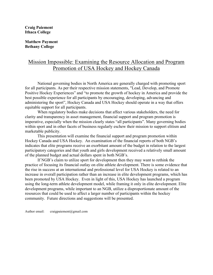#### **Craig Paiement Ithaca College**

**Matthew Payment Bethany College**

# Mission Impossible: Examining the Resource Allocation and Program Promotion of USA Hockey and Hockey Canada

National governing bodies in North America are generally charged with promoting sport for all participants. As per their respective mission statements, "Lead, Develop, and Promote Positive Hockey Experiences" and "to promote the growth of hockey in America and provide the best possible experience for all participants by encouraging, developing, advancing and administering the sport", Hockey Canada and USA Hockey should operate in a way that offers equitable support for all participants.

When regulatory bodies make decisions that affect various stakeholders, the need for clarity and transparency in asset management, financial support and program promotion is imperative, especially when the mission clearly states "all participants". Many governing bodies within sport and in other facets of business regularly eschew their mission to support elitism and marketable publicity.

This presentation will examine the financial support and program promotion within Hockey Canada and USA Hockey. An examination of the financial reports of both NGB's indicates that elite programs receive an exorbitant amount of the budget in relation to the largest participatory categories and that youth and girls development received a relatively small amount of the planned budget and actual dollars spent in both NGB's.

If NGB's claim to utilize sport for development then they may want to rethink the practice of focusing its financial outlay on elite athlete development. There is some evidence that the rise in success at an international and professional level for USA Hockey is related to an increase in overall participation rather than an increase in elite development programs, which has been promoted by USA Hockey. Even in light of this, USA Hockey has launched a program using the long-term athlete development model, while framing it only in elite development. Elite development programs, while important to an NGB, utilize a disproportionate amount of the resources that could be used to affect a larger number of participants within the hockey community. Future directions and suggestions will be presented.

Author email: craigpaiement@gmail.com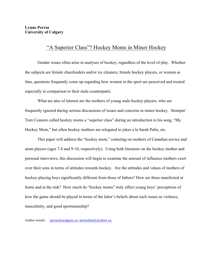### "A Superior Class"? Hockey Moms in Minor Hockey

Gender issues often arise in analyses of hockey, regardless of the level of play. Whether the subjects are female cheerleaders and/or ice cleaners, female hockey players, or women as fans, questions frequently come up regarding how women in the sport are perceived and treated especially in comparison to their male counterparts.

What are also of interest are the mothers of young male hockey players, who are frequently ignored during serious discussions of issues and concerns in minor hockey. Stompin' Tom Connors called hockey moms a "superior class" during an introduction to his song, "My Hockey Mom," but often hockey mothers are relegated to jokes a la Sarah Palin, etc.

This paper will address the "hockey mom," centering on mothers of Canadian novice and atom players (ages 7-8 and 9-10, respectively). Using both literature on the hockey mother and personal interviews, this discussion will begin to examine the amount of influence mothers exert over their sons in terms of attitudes towards hockey. Are the attitudes and values of mothers of hockey-playing boys significantly different from those of fathers? How are these manifested at home and at the rink? How much do "hockey moms" truly affect young boys' perceptions of how the game should be played in terms of the latter's beliefs about such issues as violence, masculinity, and good sportsmanship?

Author emails:  $perras@ucalgary.ca$ ; perrasfamily@shaw.ca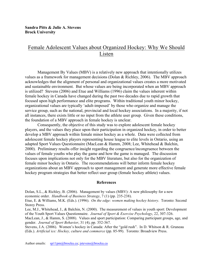# Female Adolescent Values about Organized Hockey: Why We Should Listen

Management By Values (MBV) is a relatively new approach that intentionally utilizes values as a framework for management decisions (Dolan & Richley, 2006). The MBV approach acknowledges that the alignment of personal and organizational values creates a more motivated and sustainable environment. But whose values are being incorporated when an MBV approach is utilized? Stevens (2006) and Etue and Williams (1996) claim the values inherent within female hockey in Canada have changed during the past two decades due to rapid growth that focused upon high performance and elite programs. Within traditional youth minor hockey, organizational values are typically 'adult-imposed' by those who organize and manage the service group, such as the national, provincial and local hockey associations. In a majority, if not all instances, there exists little or no input from the athlete user group. Given these conditions, the foundation of a MBV approach in female hockey is unclear.

Consequently, the objective of this study was to explore adolescent female hockey players, and the values they place upon their participation in organized hockey, in order to better develop a MBV approach within female minor hockey as a whole. Data were collected from adolescent female hockey players representing house league to elite levels in Ontario, using an adapted Sport Values Questionnaire (MacLean & Hamm, 2008; Lee, Whitehead & Balchin, 2000). Preliminary results offer insight regarding the congruence/incongruence between the values of female youths who play the game and how the game is managed. The discussion focuses upon implications not only for the MBV literature, but also for the organization of female minor hockey in Ontario. The recommendations will better inform female hockey organizations about an MBV approach to sport management and generate more effective female hockey program strategies that better reflect user group (female hockey athlete) values.

#### **References**

Dolan, S.L., & Richley, B. (2006). Management by values (MBV): A new philosophy for a new economic order. *Handbook of Business Strategy*, 7 (1) (pp. 235-238).

Etue, E. & Williams, M.K. (Eds.). (1996). *On the edge: women making hockey history*. Toronto: Second Storey Press.

Lee, M.J., Whitehead, J., & Balchin, N. (2000). The measurement of values in youth sport: Development of the Youth Sport Values Questionnaire. *Journal of Sport & Exercise Psychology*, 22, 307-326.

MacLean, J., & Hamm, S. (2008). Values and sport participation: Comparing participant groups, age, and gender. *Journal of Sport Behavior*, 31 (4), pp. 352-367.

Stevens, J.A. (2006). Women's hockey in Canada: After the "gold rush". In D. Whitson & R. Gruneau (Eds.). *Artificial ice: Hockey, culture and commerce* (pp. 85-99). Toronto: Broadview Press.

Author emails: sp11pm@brocku.ca; jstevens@brocku.ca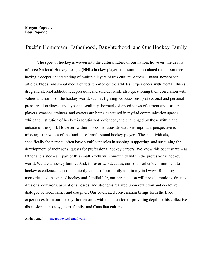### Puck'n Hometeam: Fatherhood, Daughterhood, and Our Hockey Family

The sport of hockey is woven into the cultural fabric of our nation; however, the deaths of three National Hockey League (NHL) hockey players this summer escalated the importance having a deeper understanding of multiple layers of this culture. Across Canada, newspaper articles, blogs, and social media outlets reported on the athletes' experiences with mental illness, drug and alcohol addiction, depression, and suicide, while also questioning their correlation with values and norms of the hockey world, such as fighting, concussions, professional and personal pressures, loneliness, and hyper-masculinity. Formerly silenced views of current and former players, coaches, trainers, and owners are being expressed in myriad communication spaces, while the institution of hockey is scrutinized, defended, and challenged by those within and outside of the sport. However, within this contentious debate, one important perspective is missing – the voices of the families of professional hockey players. These individuals, specifically the parents, often have significant roles in shaping, supporting, and sustaining the development of their sons' quests for professional hockey careers. We know this because we – as father and sister – are part of this small, exclusive community within the professional hockey world. We are a hockey family. And, for over two decades, our son/brother's commitment to hockey excellence shaped the interdynamics of our family unit in myriad ways. Blending memories and insights of hockey and familial life, our presentation will reveal emotions, dreams, illusions, delusions, aspirations, losses, and strengths realized upon reflection and co-active dialogue between father and daughter. Our co-created conversation brings forth the lived experiences from our hockey 'hometeam', with the intention of providing depth to this collective discussion on hockey, sport, family, and Canadian culture.

Author email: megpopovic@gmail.com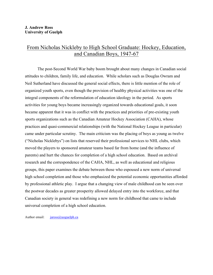### From Nicholas Nickleby to High School Graduate: Hockey, Education, and Canadian Boys, 1947-67

The post-Second World War baby boom brought about many changes in Canadian social attitudes to children, family life, and education. While scholars such as Douglas Owram and Neil Sutherland have discussed the general social effects, there is little mention of the role of organized youth sports, even though the provision of healthy physical activities was one of the integral components of the reformulation of education ideology in the period. As sports activities for young boys became increasingly organized towards educational goals, it soon became apparent that it was in conflict with the practices and priorities of pre-existing youth sports organizations such as the Canadian Amateur Hockey Association (CAHA), whose practices and quasi-commercial relationships (with the National Hockey League in particular) came under particular scrutiny. The main criticism was the placing of boys as young as twelve ("Nicholas Nicklebys") on lists that reserved their professional services to NHL clubs, which moved the players to sponsored amateur teams based far from home (and the influence of parents) and hurt the chances for completion of a high school education. Based on archival research and the correspondence of the CAHA, NHL, as well as educational and religious groups, this paper examines the debate between those who espoused a new norm of universal high school completion and those who emphasized the potential economic opportunities afforded by professional athletic play. I argue that a changing view of male childhood can be seen over the postwar decades as greater prosperity allowed delayed entry into the workforce, and that Canadian society in general was redefining a new norm for childhood that came to include universal completion of a high school education.

Author email:  $j\arccos(a)$ uoguelph.ca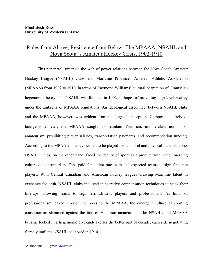### Rules from Above, Resistance from Below: The MPAAA, NSAHL and Nova Scotia's Amateur Hockey Crisis, 1902-1910

This paper will untangle the web of power relations between the Nova Scotia Amateur Hockey League (NSAHL) clubs and Maritime Provinces Amateur Athletic Association (MPAAA) from 1902 to 1910, in terms of Raymond Williams' cultural adaptation of Gramscian hegemonic theory. The NSAHL was founded in 1902, in hopes of providing high level hockey under the umbrella of MPAAA regulations. An ideological disconnect between NSAHL clubs and the MPAAA, however, was evident from the league's inception. Composed entirely of bourgeois athletes, the MPAAA sought to maintain Victorian, middle-class notions of amateurism, prohibiting player salaries, transportation payments, and accommodation funding. According to the MPAAA, hockey needed to be played for its moral and physical benefits alone. NSAHL Clubs, on the other hand, faced the reality of sport as a product within the emerging culture of consumerism. Fans paid for a first rate team and expected teams to sign first rate players. With Central Canadian and American hockey leagues drawing Maritime talent in exchange for cash, NSAHL clubs indulged in secretive compensation techniques to stack their line-ups, allowing teams to sign less affluent players and professionals. As hints of professionalism leaked through the press to the MPAAA, the emergent culture of sporting consumerism slammed against the tide of Victorian amateurism. The NSAHL and MPAAA became locked in a hegemonic give-and-take for the better part of decade, each side negotiating fiercely until the NSAHL collapsed in 1910.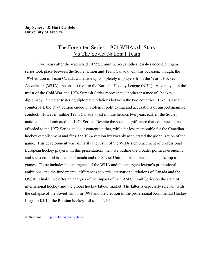#### **Jay Scherer & Hart Cantelon University of Alberta**

### The Forgotten Series: 1974 WHA All-Stars Vs The Soviet National Team

Two years after the watershed 1972 Summit Series, another less-heralded eight game series took place between the Soviet Union and Team Canada. On this occasion, though, the 1974 edition of Team Canada was made up completely of players from the World Hockey Association (WHA), the upstart rival to the National Hockey League (NHL). Also played in the midst of the Cold War, the 1974 Summit Series represented another instance of "hockey diplomacy" aimed at fostering diplomatic relations between the two countries. Like its earlier counterpart, the 1974 edition ended in violence, politicking, and accusations of unsportsmanlike conduct. However, unlike Team Canada's last minute heroics two years earlier, the Soviet national team dominated the 1974 Series. Despite the social significance that continues to be afforded to the 1972 Series, it is our contention that, while far less memorable for the Canadian hockey establishment and fans, the 1974 version irrevocably accelerated the globalization of the game. This development was primarily the result of the WHA's embracement of professional European hockey players. In this presentation, then, we outline the broader political-economic and socio-cultural issues—in Canada and the Soviet Union—that served as the backdrop to the games. These include: the emergence of the WHA and the emergent league's promotional ambitions, and the fundamental differences towards international relations of Canada and the USSR. Finally, we offer an analysis of the impact of the 1974 Summit Series on the state of international hockey and the global hockey labour market. The latter is especially relevant with the collapse of the Soviet Union in 1991 and the creation of the professional Kontinental Hockey League (KHL), the Russian hockey foil to the NHL.

Author email: jay.scherer@ualberta.ca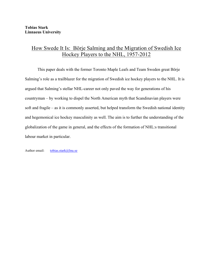# How Swede It Is: Börje Salming and the Migration of Swedish Ice Hockey Players to the NHL, 1957-2012

This paper deals with the former Toronto Maple Leafs and Team Sweden great Börje Salming's role as a trailblazer for the migration of Swedish ice hockey players to the NHL. It is argued that Salming's stellar NHL-career not only paved the way for generations of his countryman – by working to dispel the North American myth that Scandinavian players were soft and fragile – as it is commonly asserted, but helped transform the Swedish national identity and hegemonical ice hockey masculinity as well. The aim is to further the understanding of the globalization of the game in general, and the effects of the formation of NHL:s transitional labour market in particular.

Author email: tobias.stark@lnu.se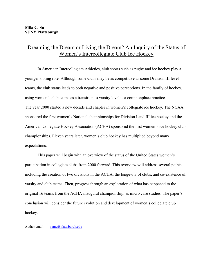# Dreaming the Dream or Living the Dream? An Inquiry of the Status of Women's Intercollegiate Club Ice Hockey

In American Intercollegiate Athletics, club sports such as rugby and ice hockey play a younger sibling role. Although some clubs may be as competitive as some Division III level teams, the club status leads to both negative and positive perceptions. In the family of hockey, using women's club teams as a transition to varsity level is a commonplace practice. The year 2000 started a new decade and chapter in women's collegiate ice hockey. The NCAA sponsored the first women's National championships for Division I and III ice hockey and the American Collegiate Hockey Association (ACHA) sponsored the first women's ice hockey club championships. Eleven years later, women's club hockey has multiplied beyond many expectations.

This paper will begin with an overview of the status of the United States women's participation in collegiate clubs from 2000 forward. This overview will address several points including the creation of two divisions in the ACHA, the longevity of clubs, and co-existence of varsity and club teams. Then, progress through an exploration of what has happened to the original 16 teams from the ACHA inaugural championship, as micro case studies. The paper's conclusion will consider the future evolution and development of women's collegiate club hockey.

Author email: sumc@plattsburgh.edu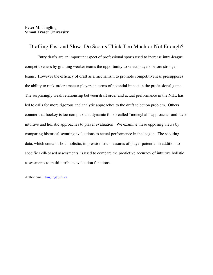### Drafting Fast and Slow: Do Scouts Think Too Much or Not Enough?

Entry drafts are an important aspect of professional sports used to increase intra-league competitiveness by granting weaker teams the opportunity to select players before stronger teams. However the efficacy of draft as a mechanism to promote competitiveness presupposes the ability to rank-order amateur players in terms of potential impact in the professional game. The surprisingly weak relationship between draft order and actual performance in the NHL has led to calls for more rigorous and analytic approaches to the draft selection problem. Others counter that hockey is too complex and dynamic for so-called "moneyball" approaches and favor intuitive and holistic approaches to player evaluation. We examine these opposing views by comparing historical scouting evaluations to actual performance in the league. The scouting data, which contains both holistic, impressionistic measures of player potential in addition to specific skill-based assessments, is used to compare the predictive accuracy of intuitive holistic assessments to multi-attribute evaluation functions.

Author email:  $tingling(\omega s f u.ca)$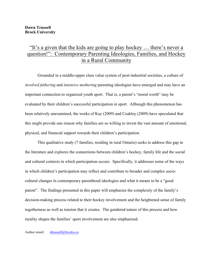# "It's a given that the kids are going to play hockey … there's never a question!": Contemporary Parenting Ideologies, Families, and Hockey in a Rural Community

Grounded in a middle-upper class value system of post-industrial societies, a culture of *involved fathering* and *intensive mothering* parenting ideologies have emerged and may have an important connection to organized youth sport. That is, a parent's "moral worth" may be evaluated by their children's successful participation in sport. Although this phenomenon has been relatively unexamined, the works of Kay (2009) and Coakley (2009) have speculated that this might provide one reason why families are so willing to invest the vast amount of emotional, physical, and financial support towards their children's participation.

This qualitative study (7 families, residing in rural Ontario) seeks to address this gap in the literature and explores the connections between children's hockey, family life and the social and cultural contexts in which participation occurs. Specifically, it addresses some of the ways in which children's participation may reflect and contribute to broader and complex sociocultural changes in contemporary parenthood ideologies and what it means to be a "good parent". The findings presented in this paper will emphasize the complexity of the family's decision-making process related to their hockey involvement and the heightened sense of family togetherness as well as tension that it creates. The gendered nature of this process and how rurality shapes the families' sport involvement are also emphasized.

Author email: dtrussell@brocku.ca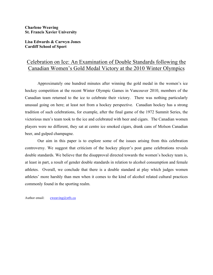#### **Charlene Weaving St. Francis Xavier University**

**Lisa Edwards & Carwyn Jones Cardiff School of Sport**

# Celebration on Ice: An Examination of Double Standards following the Canadian Women's Gold Medal Victory at the 2010 Winter Olympics

Approximately one hundred minutes after winning the gold medal in the women's ice hockey competition at the recent Winter Olympic Games in Vancouver 2010, members of the Canadian team returned to the ice to celebrate their victory. There was nothing particularly unusual going on here; at least not from a hockey perspective. Canadian hockey has a strong tradition of such celebrations, for example, after the final game of the 1972 Summit Series, the victorious men's team took to the ice and celebrated with beer and cigars. The Canadian women players were no different, they sat at centre ice smoked cigars, drank cans of Molson Canadian beer, and gulped champagne.

Our aim in this paper is to explore some of the issues arising from this celebration controversy. We suggest that criticism of the hockey player's post game celebrations reveals double standards. We believe that the disapproval directed towards the women's hockey team is, at least in part, a result of gender double standards in relation to alcohol consumption and female athletes. Overall, we conclude that there is a double standard at play which judges women athletes' more harshly than men when it comes to the kind of alcohol related cultural practices commonly found in the sporting realm.

Author email: cweaving@stfx.ca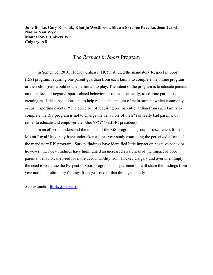**Julie Booke, Gary Koroluk, Khatija Westbrook, Shawn Sky, Joe Pavelka, Jean Jarrell, Nadine Van Wyk Mount Royal University Calgary, AB**

### The *Respect in Sport* Program

In September 2010, Hockey Calgary (HC) instituted the mandatory Respect in Sport (RiS) program, requiring one parent/guardian from each family to complete the online program or their child(ren) would not be permitted to play. The intent of the program is to educate parents on the effects of negative sport related behaviors -- more specifically, to educate parents on creating realistic expectations and to help reduce the amount of maltreatment which commonly occur in sporting events. "The objective of requiring one parent/guardian from each family to complete the RiS program is not to change the behaviors of the 2% of really bad parents, but rather to educate and empower the other 98%" (Past HC president).

In an effort to understand the impact of the RiS program, a group of researchers from Mount Royal University have undertaken a three-year study examining the perceived effects of the mandatory RiS program. Survey findings have identified little impact on negative behavior, however, interview findings have highlighted an increased awareness of the impact of poor parental behavior, the need for more accountability from Hockey Calgary and overwhelmingly the need to continue the Respect in Sport program. This presentation will share the findings from year and the preliminary findings from year two of this three-year study.

**Author email:** jbooke@mtroyal.ca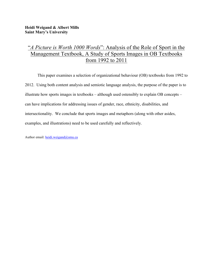# "*A Picture is Worth 1000 Words*": Analysis of the Role of Sport in the Management Textbook, A Study of Sports Images in OB Textbooks from 1992 to 2011

This paper examines a selection of organizational behaviour (OB) textbooks from 1992 to 2012. Using both content analysis and semiotic language analysis, the purpose of the paper is to illustrate how sports images in textbooks – although used ostensibly to explain OB concepts – can have implications for addressing issues of gender, race, ethnicity, disabilities, and intersectionality. We conclude that sports images and metaphors (along with other asides, examples, and illustrations) need to be used carefully and reflectively.

Author email: heidi.weigand@smu.ca